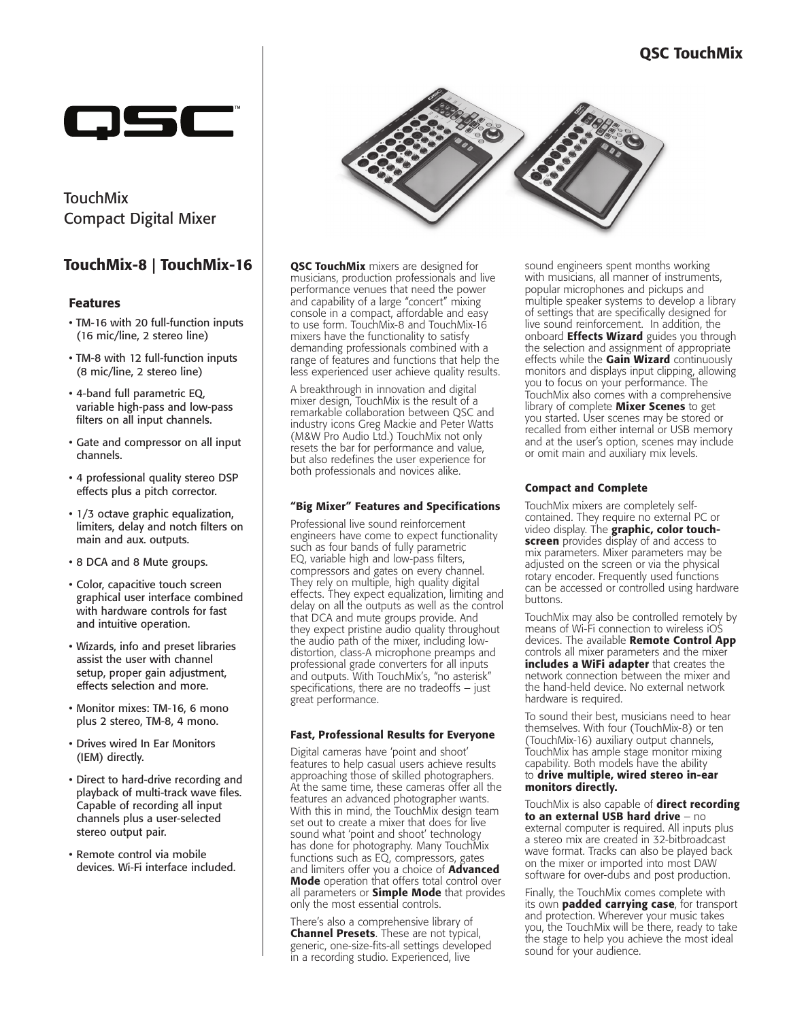## QSC TouchMix



TouchMix Compact Digital Mixer

## TouchMix-8 | TouchMix-16

### Features

- TM-16 with 20 full-function inputs (16 mic/line, 2 stereo line)
- TM-8 with 12 full-function inputs (8 mic/line, 2 stereo line)
- 4-band full parametric EQ, variable high-pass and low-pass filters on all input channels.
- Gate and compressor on all input channels.
- 4 professional quality stereo DSP effects plus a pitch corrector.
- 1/3 octave graphic equalization, limiters, delay and notch filters on main and aux. outputs.
- 8 DCA and 8 Mute groups.
- Color, capacitive touch screen graphical user interface combined with hardware controls for fast and intuitive operation.
- Wizards, info and preset libraries assist the user with channel setup, proper gain adjustment, effects selection and more.
- Monitor mixes: TM-16, 6 mono plus 2 stereo, TM-8, 4 mono.
- Drives wired In Ear Monitors (IEM) directly.
- Direct to hard-drive recording and playback of multi-track wave files. Capable of recording all input channels plus a user-selected stereo output pair.
- Remote control via mobile devices. Wi-Fi interface included.



**QSC TouchMix** mixers are designed for musicians, production professionals and live performance venues that need the power and capability of a large "concert" mixing console in a compact, affordable and easy to use form. TouchMix-8 and TouchMix-16 mixers have the functionality to satisfy demanding professionals combined with a range of features and functions that help the less experienced user achieve quality results.

A breakthrough in innovation and digital mixer design, TouchMix is the result of a remarkable collaboration between QSC and industry icons Greg Mackie and Peter Watts (M&W Pro Audio Ltd.) TouchMix not only resets the bar for performance and value, but also redefines the user experience for both professionals and novices alike.

#### "Big Mixer" Features and Specifications

Professional live sound reinforcement engineers have come to expect functionality such as four bands of fully parametric EQ, variable high and low-pass filters, compressors and gates on every channel. They rely on multiple, high quality digital effects. They expect equalization, limiting and delay on all the outputs as well as the control that DCA and mute groups provide. And they expect pristine audio quality throughout the audio path of the mixer, including lowdistortion, class-A microphone preamps and professional grade converters for all inputs and outputs. With TouchMix's, "no asterisk" specifications, there are no tradeoffs – just great performance.

#### Fast, Professional Results for Everyone

Digital cameras have 'point and shoot' features to help casual users achieve results approaching those of skilled photographers. At the same time, these cameras offer all the features an advanced photographer wants. With this in mind, the TouchMix design team set out to create a mixer that does for live sound what 'point and shoot' technology has done for photography. Many TouchMix functions such as EQ, compressors, gates and limiters offer you a choice of **Advanced** Mode operation that offers total control over all parameters or **Simple Mode** that provides only the most essential controls.

There's also a comprehensive library of Channel Presets. These are not typical, generic, one-size-fits-all settings developed in a recording studio. Experienced, live

sound engineers spent months working with musicians, all manner of instruments, popular microphones and pickups and multiple speaker systems to develop a library of settings that are specifically designed for live sound reinforcement. In addition, the onboard **Effects Wizard** guides you through the selection and assignment of appropriate effects while the Gain Wizard continuously monitors and displays input clipping, allowing you to focus on your performance. The TouchMix also comes with a comprehensive library of complete **Mixer Scenes** to get you started. User scenes may be stored or recalled from either internal or USB memory and at the user's option, scenes may include or omit main and auxiliary mix levels.

### Compact and Complete

TouchMix mixers are completely selfcontained. They require no external PC or video display. The **graphic, color touchscreen** provides display of and access to mix parameters. Mixer parameters may be adjusted on the screen or via the physical rotary encoder. Frequently used functions can be accessed or controlled using hardware buttons.

TouchMix may also be controlled remotely by means of Wi-Fi connection to wireless iOS devices. The available Remote Control App controls all mixer parameters and the mixer includes a WiFi adapter that creates the network connection between the mixer and the hand-held device. No external network hardware is required.

To sound their best, musicians need to hear themselves. With four (TouchMix-8) or ten (TouchMix-16) auxiliary output channels, TouchMix has ample stage monitor mixing capability. Both models have the ability to drive multiple, wired stereo in-ear monitors directly.

TouchMix is also capable of **direct recording** to an external USB hard drive - no external computer is required. All inputs plus a stereo mix are created in 32-bitbroadcast wave format. Tracks can also be played back on the mixer or imported into most DAW software for over-dubs and post production.

Finally, the TouchMix comes complete with its own **padded carrying case**, for transport and protection. Wherever your music takes you, the TouchMix will be there, ready to take the stage to help you achieve the most ideal sound for your audience.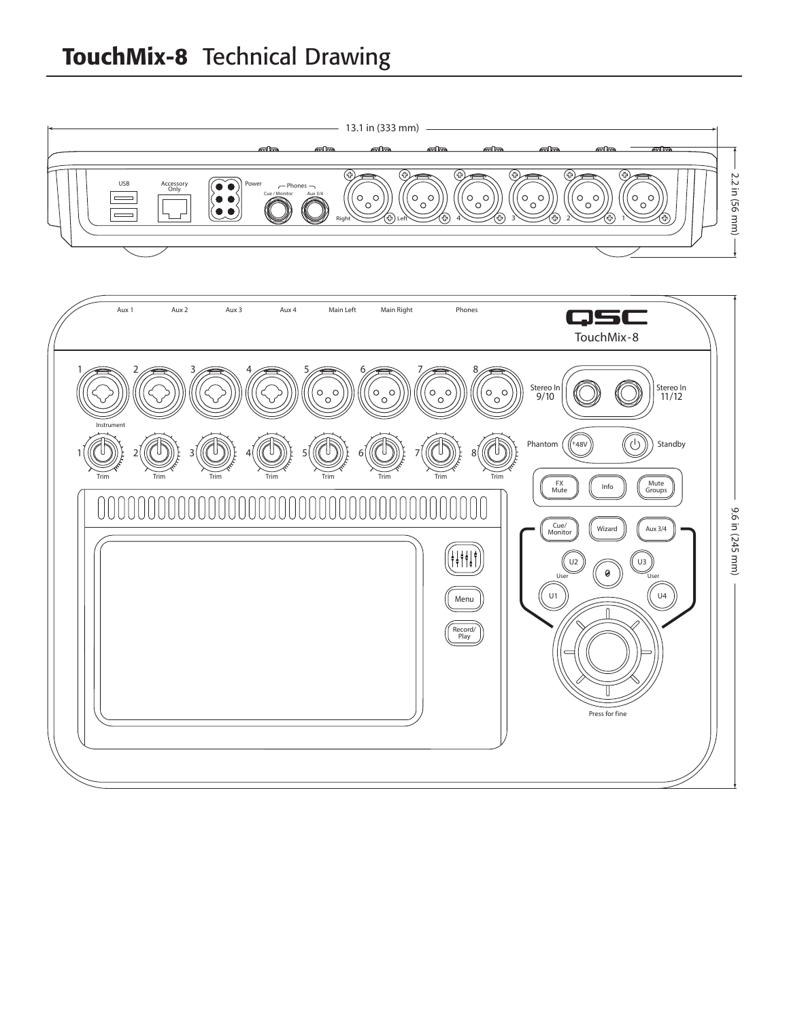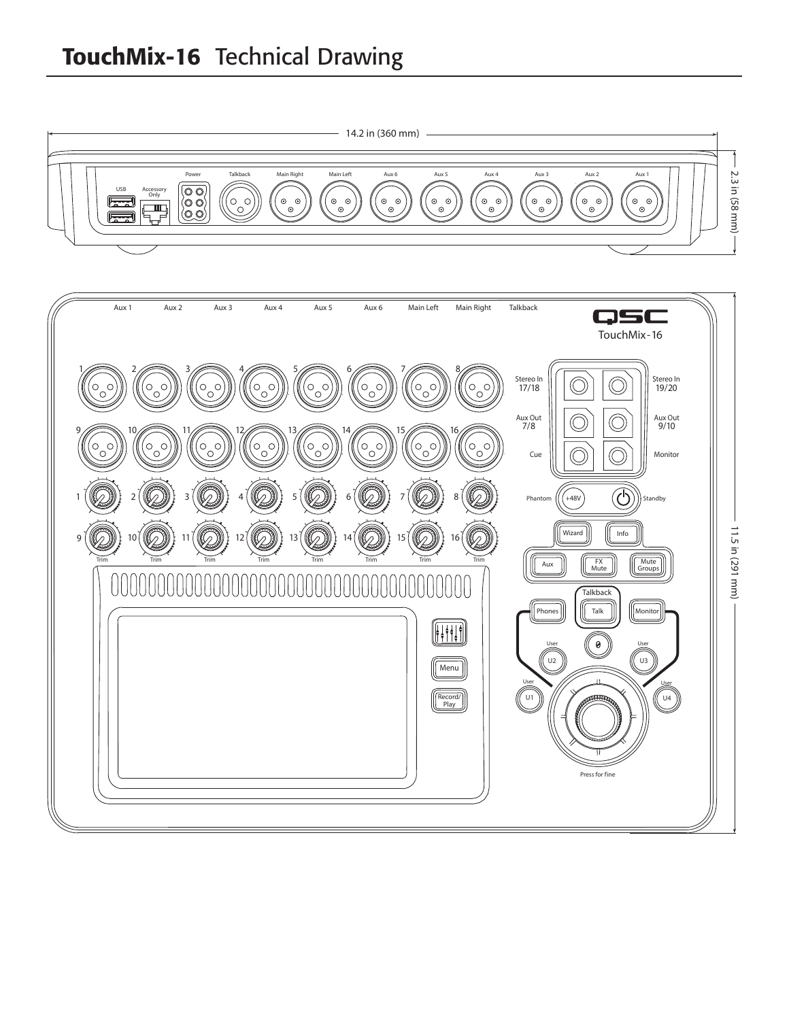# TouchMix-16 Technical Drawing